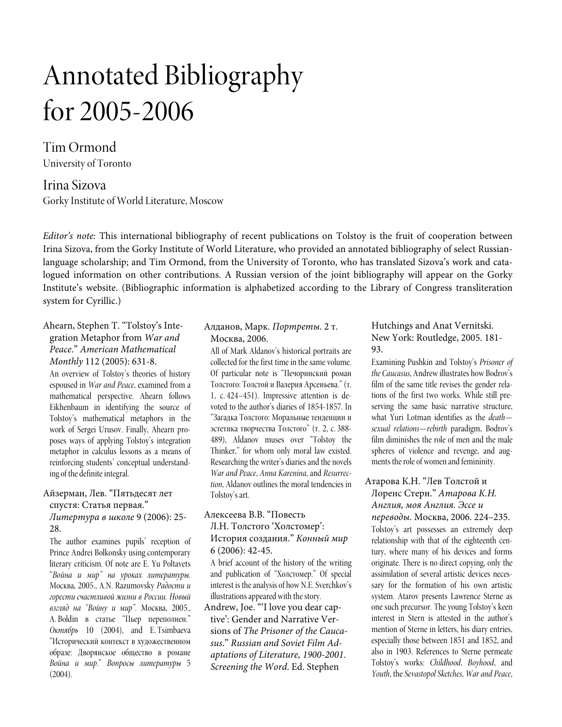# Annotated Bibliography for 2005-2006

Tim Ormond University of Toronto

Irina Sizova Gorky Institute of World Literature, Moscow

Editor's note: This international bibliography of recent publications on Tolstoy is the fruit of cooperation between Irina Sizova, from the Gorky Institute of World Literature, who provided an annotated bibliography of select Russianlanguage scholarship; and Tim Ormond, from the University of Toronto, who has translated Sizova's work and catalogued information on other contributions. A Russian version of the joint bibliography will appear on the Gorky Institute's website. (Bibliographic information is alphabetized according to the Library of Congress transliteration system for Cyrillic.)

## Ahearn, Stephen T. "Tolstoy's Integration Metaphor from War and Peace." American Mathematical Monthly 112 (2005): 631-8.

An overview of Tolstoy's theories of history espoused in War and Peace, examined from a mathematical perspective. Ahearn follows Eikhenbaum in identifying the source of Tolstoy's mathematical metaphors in the work of Sergei Urusov. Finally, Ahearn proposes ways of applying Tolstoy's integration metaphor in calculus lessons as a means of reinforcing students' conceptual understanding of the definite integral.

#### Айзерман, Лев. "Пятьдесят лет спустя: Статья первая."

Литертура в школе 9 (2006): 25- 28.

The author examines pupils' reception of Prince Andrei Bolkonsky using contemporary literary criticism. Of note are E. Yu Poltavets "Война и мир" на уроках литературы. Москва, 2005., A.N. Razumovsky Радости и горести счастливой жизни в России. Новый взгляд на "Войну и мир". Москва, 2005., А. Boldin в статье "Пьер переполнен." Октябрь 10 (2004), and E. Tsimbaeva "Исторический контекст в художественном образе: Дворянское общество в романе Война и мир." Вопросы литературы 5 (2004).

## Алданов, Марк. Портреты. 2 т. Москва, 2006.

All of Mark Aldanov's historical portraits are collected for the first time in the same volume. Of particular note is "Печоринский роман Толстого: Толстой и Валерия Арсеньева." (т. 1, с. 424–451). Impressive attention is devoted to the author's diaries of 1854-1857. In "Загадка Толстого: Моральные тенденции и эстетика творчества Толстого" (т. 2, с. 388- 489), Aldanov muses over "Tolstoy the Thinker," for whom only moral law existed. Researching the writer's diaries and the novels War and Peace, Anna Karenina, and Resurrection, Aldanov outlines the moral tendencies in Tolstoy's art.

## Алексеева В.В. "Повесть Л.Н. Толстого 'Холстомер': История создания." Конный мир

6 (2006): 42-45.

A brief account of the history of the writing and publication of "Холстомер." Of special interest is the analysis of how N.E. Sverchkov's illustrations appeared with the story.

Andrew, Joe. "'I love you dear captive': Gender and Narrative Versions of The Prisoner of the Caucasus." Russian and Soviet Film Adaptations of Literature, 1900-2001. Screening the Word. Ed. Stephen

Hutchings and Anat Vernitski. New York: Routledge, 2005. 181- 93.

Examining Pushkin and Tolstoy's Prisoner of the Caucasus, Andrew illustrates how Bodrov's film of the same title revises the gender relations of the first two works. While still preserving the same basic narrative structure, what Yuri Lotman identifies as the death sexual relations—rebirth paradigm, Bodrov's film diminishes the role of men and the male spheres of violence and revenge, and augments the role of women and femininity.

## Атарова К.Н. "Лев Толстой и Лоренс Стерн." Атарова К.Н. Англия, моя Англия. Эссе и

переводы. Москва, 2006. 224–235. Tolstoy's art possesses an extremely deep relationship with that of the eighteenth century, where many of his devices and forms originate. There is no direct copying, only the assimilation of several artistic devices necessary for the formation of his own artistic system. Atarov presents Lawrence Sterne as one such precursor. The young Tolstoy's keen interest in Stern is attested in the author's mention of Sterne in letters, his diary entries, especially those between 1851 and 1852, and also in 1903. References to Sterne permeate Tolstoy's works: Childhood, Boyhood, and Youth, the Sevastopol Sketches, War and Peace,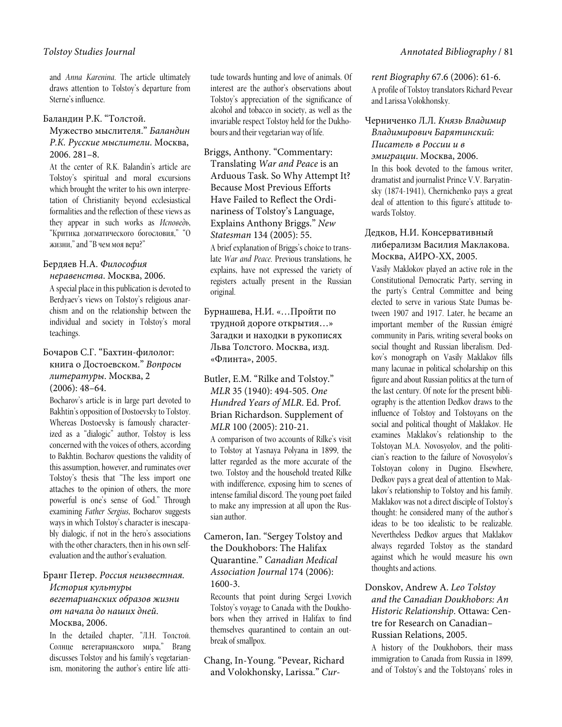and Anna Karenina. The article ultimately draws attention to Tolstoy's departure from Sterne's influence.

#### Баландин Р.К. "Толстой.

Мужество мыслителя." Баландин Р.К. Русские мыслители. Москва, 2006. 281–8.

At the center of R.K. Balandin's article are Tolstoy's spiritual and moral excursions which brought the writer to his own interpretation of Christianity beyond ecclesiastical formalities and the reflection of these views as they appear in such works as Исповедь, "Критика догматического богословия," "О жизни," and "В чем моя вера?"

# Бердяев Н.А. Философия

неравенства. Москва, 2006.

A special place in this publication is devoted to Berdyaev's views on Tolstoy's religious anarchism and on the relationship between the individual and society in Tolstoy's moral teachings.

## Бочаров С.Г. "Бахтин-филолог: книга о Достоевском." Вопросы литературы. Москва, 2 (2006): 48–64.

Bocharov's article is in large part devoted to Bakhtin's opposition of Dostoevsky to Tolstoy. Whereas Dostoevsky is famously characterized as a "dialogic" author, Tolstoy is less concerned with the voices of others, according to Bakhtin. Bocharov questions the validity of this assumption, however, and ruminates over Tolstoy's thesis that "The less import one attaches to the opinion of others, the more powerful is one's sense of God." Through examining Father Sergius, Bocharov suggests ways in which Tolstoy's character is inescapably dialogic, if not in the hero's associations with the other characters, then in his own selfevaluation and the author's evaluation.

## Бранг Петер. Россия неизвестная.

История культуры вегетарианских образов жизни от начала до наших дней. Москва, 2006.

In the detailed chapter, "Л.Н. Толстой. Солнце вегетарианского мира," Brang discusses Tolstoy and his family's vegetarianism, monitoring the author's entire life attitude towards hunting and love of animals. Of interest are the author's observations about Tolstoy's appreciation of the significance of alcohol and tobacco in society, as well as the invariable respect Tolstoy held for the Dukhobours and their vegetarian way of life.

Briggs, Anthony. "Commentary: Translating War and Peace is an Arduous Task. So Why Attempt It? Because Most Previous Efforts Have Failed to Reflect the Ordinariness of Tolstoy's Language, Explains Anthony Briggs." New Statesman 134 (2005): 55. A brief explanation of Briggs's choice to translate War and Peace. Previous translations, he explains, have not expressed the variety of registers actually present in the Russian original.

- Бурнашева, Н.И. «…Пройти по трудной дороге открытия…» Загадки и находки в рукописях Льва Толстого. Москва, изд. «Флинта», 2005.
- Butler, E.M. "Rilke and Tolstoy." MLR 35 (1940): 494-505. One Hundred Years of MLR. Ed. Prof. Brian Richardson. Supplement of MLR 100 (2005): 210-21.

A comparison of two accounts of Rilke's visit to Tolstoy at Yasnaya Polyana in 1899, the latter regarded as the more accurate of the two. Tolstoy and the household treated Rilke with indifference, exposing him to scenes of intense familial discord. The young poet failed to make any impression at all upon the Russian author.

#### Cameron, Ian. "Sergey Tolstoy and the Doukhobors: The Halifax Quarantine." Canadian Medical Association Journal 174 (2006): 1600-3.

Recounts that point during Sergei Lvovich Tolstoy's voyage to Canada with the Doukhobors when they arrived in Halifax to find themselves quarantined to contain an outbreak of smallpox.

Chang, In-Young. "Pevear, Richard and Volokhonsky, Larissa." Cur-

rent Biography 67.6 (2006): 61-6. A profile of Tolstoy translators Richard Pevear and Larissa Volokhonsky.

## Черниченко Л.Л. Князь Владимир Владимирович Барятинский: Писатель в России и в эмиграции. Москва, 2006.

In this book devoted to the famous writer, dramatist and journalist Prince V.V. Baryatinsky (1874-1941), Chernichenko pays a great deal of attention to this figure's attitude towards Tolstoy.

## Дедков, Н.И. Консервативный либерализм Василия Маклакова. Москва, АИРО-XX, 2005.

Vasily Maklokov played an active role in the Constitutional Democratic Party, serving in the party's Central Committee and being elected to serve in various State Dumas between 1907 and 1917. Later, he became an important member of the Russian émigré community in Paris, writing several books on social thought and Russian liberalism. Dedkov's monograph on Vasily Maklakov fills many lacunae in political scholarship on this figure and about Russian politics at the turn of the last century. Of note for the present bibliography is the attention Dedkov draws to the influence of Tolstoy and Tolstoyans on the social and political thought of Maklakov. He examines Maklakov's relationship to the Tolstoyan M.A. Novosyolov, and the politician's reaction to the failure of Novosyolov's Tolstoyan colony in Dugino. Elsewhere, Dedkov pays a great deal of attention to Maklakov's relationship to Tolstoy and his family. Maklakov was not a direct disciple of Tolstoy's thought: he considered many of the author's ideas to be too idealistic to be realizable. Nevertheless Dedkov argues that Maklakov always regarded Tolstoy as the standard against which he would measure his own thoughts and actions.

Donskov, Andrew A. Leo Tolstoy and the Canadian Doukhobors: An Historic Relationship. Ottawa: Centre for Research on Canadian– Russian Relations, 2005.

A history of the Doukhobors, their mass immigration to Canada from Russia in 1899, and of Tolstoy's and the Tolstoyans' roles in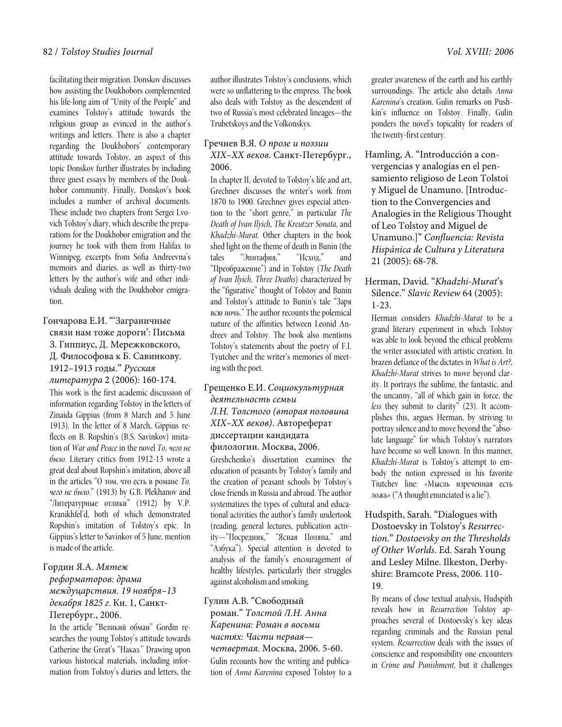facilitating their migration. Donskov discusses how assisting the Doukhobors complemented his life-long aim of "Unity of the People" and examines Tolstoy's attitude towards the religious group as evinced in the author's writings and letters. There is also a chapter regarding the Doukhobors' contemporary attitude towards Tolstoy, an aspect of this topic Donskov further illustrates by including three guest essays by members of the Doukhobor community. Finally, Donskov's book includes a number of archival documents. These include two chapters from Sergei Lvovich Tolstoy's diary, which describe the preparations for the Doukhobor emigration and the journey he took with them from Halifax to Winnipeg, excerpts from Sofia Andreevna's memoirs and diaries, as well as thirty-two letters by the author's wife and other individuals dealing with the Doukhobor emigration.

Гончарова Е.И. "'Заграничные связи нам тоже дороги': Письма З. Гиппиус, Д. Мережковского, Д. Философова к Б. Савинкову. 1912–1913 годы." Русская литература 2 (2006): 160-174. This work is the first academic discussion of information regarding Tolstoy in the letters of Zinaida Gippius (from 8 March and 5 June 1913). In the letter of 8 March, Gippius reflects on B. Ropshin's (B.S. Savinkov) imitation of War and Peace in the novel То, чего не было. Literary critics from 1912-13 wrote a great deal about Ropshin's imitation, above all in the articles "О том, что есть в романе  $To$ , чего не было." (1913) by G.B. Plekhanov and "Литературные отлики" (1912) by V.P. Kranikhfel'd, both of which demonstrated

Ropshin's imitation of Tolstoy's epic. In Gippius's letter to Savinkov of 5 June, mention is made of the article.

#### Гордин Я.А. Мятеж

реформаторов: драма междуцарствия. 19 ноября–13 декабря 1825 г. Кн. 1, Санкт-Петербург., 2006.

In the article "Великий обман" Gordin researches the young Tolstoy's attitude towards Catherine the Great's "Наказ." Drawing upon various historical materials, including information from Tolstoy's diaries and letters, the

author illustrates Tolstoy's conclusions, which were so unflattering to the empress. The book also deals with Tolstoy as the descendent of two of Russia's most celebrated lineages—the Trubetskoys and the Volkonskys.

## Гречнев В.Я. О прозе и поэзии XIX–XX веков. Санкт-Петербург., 2006.

In chapter II, devoted to Tolstoy's life and art, Grechnev discusses the writer's work from 1870 to 1900. Grechnev gives especial attention to the "short genre," in particular The Death of Ivan Ilyich, The Kreutzer Sonata, and Khadzhi-Murat. Other chapters in the book shed light on the theme of death in Bunin (the tales "Эпитафия," "Исход," and "Преображение") and in Tolstoy (The Death of Ivan Ilyich, Three Deaths) characterized by the "figurative" thought of Tolstoy and Bunin and Tolstoy's attitude to Bunin's tale "Заря всю ночь." The author recounts the polemical nature of the affinities between Leonid Andreev and Tolstoy. The book also mentions Tolstoy's statements about the poetry of F.I. Tyutchev and the writer's memories of meeting with the poet.

Грещенко Е.И. Социокультурная деятельность семьи Л.Н. Толстого (вторая половина XIX–XX веков). Автореферат диссертации кандидата филологии. Москва, 2006.

Greshchenko's dissertation examines the education of peasants by Tolstoy's family and the creation of peasant schools by Tolstoy's close friends in Russia and abroad. The author systematizes the types of cultural and educational activities the author's family undertook (reading, general lectures, publication activity—"Посредник," "Ясная Поляна," and "Азбука"). Special attention is devoted to analysis of the family's encouragement of healthy lifestyles, particularly their struggles against alcoholism and smoking.

Гулин А.В. "Свободный роман." Толстой Л.Н. Анна Каренина: Роман в восьми частях: Части первая четвертая. Москва, 2006. 5-60. Gulin recounts how the writing and publication of Anna Karenina exposed Tolstoy to a greater awareness of the earth and his earthly surroundings. The article also details Anna Karenina's creation. Gulin remarks on Pushkin's influence on Tolstoy. Finally, Gulin ponders the novel's topicality for readers of the twenty-first century.

Hamling, A. "Introducción a convergencias y analogías en el pensamiento religioso de Leon Tolstoi y Miguel de Unamuno. [Introduction to the Convergencies and Analogies in the Religious Thought of Leo Tolstoy and Miguel de Unamuno.]" Confluencia: Revista Hispánica de Cultura y Literatura 21 (2005): 68-78.

Herman, David. "Khadzhi-Murat's Silence." Slavic Review 64 (2005): 1-23.

Herman considers Khadzhi-Murat to be a grand literary experiment in which Tolstoy was able to look beyond the ethical problems the writer associated with artistic creation. In brazen defiance of the dictates in What is Art?, Khadzhi-Murat strives to move beyond clarity. It portrays the sublime, the fantastic, and the uncanny, "all of which gain in force, the less they submit to clarity" (23). It accomplishes this, argues Herman, by striving to portray silence and to move beyond the "absolute language" for which Tolstoy's narrators have become so well known. In this manner, Khadzhi-Murat is Tolstoy's attempt to embody the notion expressed in his favorite Tiutchev line: «Мысль изреченная есть ложь» ("A thought enunciated is a lie").

Hudspith, Sarah. "Dialogues with Dostoevsky in Tolstoy's Resurrection." Dostoevsky on the Thresholds of Other Worlds. Ed. Sarah Young and Lesley Milne. Ilkeston, Derbyshire: Bramcote Press, 2006. 110- 19.

By means of close textual analysis, Hudspith reveals how in Resurrection Tolstoy approaches several of Dostoevsky's key ideas regarding criminals and the Russian penal system. Resurrection deals with the issues of conscience and responsibility one encounters in Crime and Punishment, but it challenges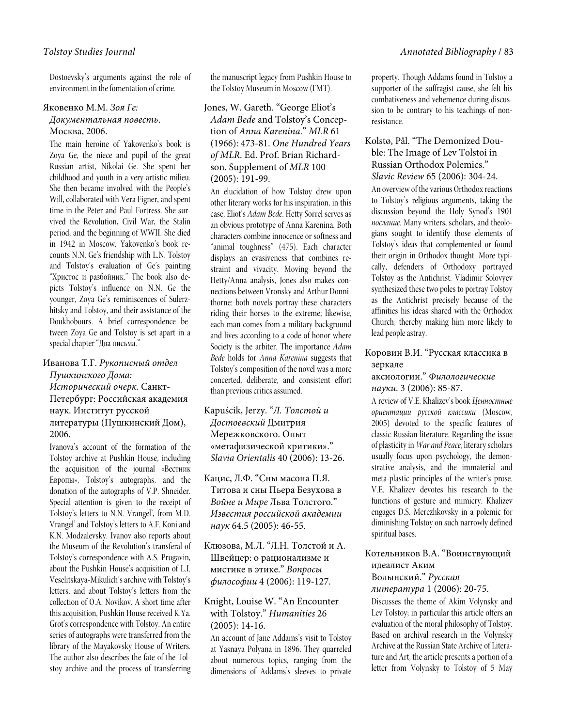Dostoevsky's arguments against the role of environment in the fomentation of crime.

#### Яковенко М.М. Зоя Ге:

#### Документальная повесть. Москва, 2006.

The main heroine of Yakovenko's book is Zoya Ge, the niece and pupil of the great Russian artist, Nikolai Ge. She spent her childhood and youth in a very artistic milieu. She then became involved with the People's Will, collaborated with Vera Figner, and spent time in the Peter and Paul Fortress. She survived the Revolution, Civil War, the Stalin period, and the beginning of WWII. She died in 1942 in Moscow. Yakovenko's book recounts N.N. Ge's friendship with L.N. Tolstoy and Tolstoy's evaluation of Ge's painting "Христос и разбойник." The book also depicts Tolstoy's influence on N.N. Ge the younger, Zoya Ge's reminiscences of Sulerzhitsky and Tolstoy, and their assistance of the Doukhobours. A brief correspondence between Zoya Ge and Tolstoy is set apart in a special chapter "Два письма."

## Иванова Т.Г. Рукописный отдел Пушкинского Дома: Исторический очерк. Санкт-Петербург: Российская академия наук. Институт русской литературы (Пушкинский Дом), 2006.

Ivanova's account of the formation of the Tolstoy archive at Pushkin House, including the acquisition of the journal «Вестник Европы», Tolstoy's autographs, and the donation of the autographs of V.P. Shneider. Special attention is given to the receipt of Tolstoy's letters to N.N. Vrangel', from M.D. Vrangel' and Tolstoy's letters to A.F. Koni and K.N. Modzalevsky. Ivanov also reports about the Museum of the Revolution's transferal of Tolstoy's correspondence with A.S. Prugavin, about the Pushkin House's acquisition of L.I. Veselitskaya-Mikulich's archive with Tolstoy's letters, and about Tolstoy's letters from the collection of O.A. Novikov. A short time after this acquisition, Pushkin House received K.Ya. Grot's correspondence with Tolstoy. An entire series of autographs were transferred from the library of the Mayakovsky House of Writers. The author also describes the fate of the Tolstoy archive and the process of transferring the manuscript legacy from Pushkin House to the Tolstoy Museum in Moscow (ГМТ).

## Jones, W. Gareth. "George Eliot's Adam Bede and Tolstoy's Conception of Anna Karenina." MLR 61 (1966): 473-81. One Hundred Years of MLR. Ed. Prof. Brian Richardson. Supplement of MLR 100 (2005): 191-99.

An elucidation of how Tolstoy drew upon other literary works for his inspiration, in this case, Eliot's Adam Bede. Hetty Sorrel serves as an obvious prototype of Anna Karenina. Both characters combine innocence or softness and "animal toughness" (475). Each character displays an evasiveness that combines restraint and vivacity. Moving beyond the Hetty/Anna analysis, Jones also makes connections between Vronsky and Arthur Donnithorne: both novels portray these characters riding their horses to the extreme; likewise, each man comes from a military background and lives according to a code of honor where Society is the arbiter. The importance Adam Bede holds for Anna Karenina suggests that Tolstoy's composition of the novel was a more concerted, deliberate, and consistent effort than previous critics assumed.

- Kapuścik, Jerzy. "Л. Толстой и Достоевский Дмитрия Мережковского. Опыт «метафизической критики»." Slavia Orientalis 40 (2006): 13-26.
- Кацис, Л.Ф. "Сны масона П.Я. Титова и сны Пьера Безухова в Войне и Мире Льва Толстого." Известия российской академии наук 64.5 (2005): 46-55.
- Клюзова, М.Л. "Л.Н. Толстой и А. Швейцер: о рационализме и мистике в этике." Вопросы философии 4 (2006): 119-127.

#### Knight, Louise W. "An Encounter with Tolstoy." Humanities 26 (2005): 14-16.

An account of Jane Addams's visit to Tolstoy at Yasnaya Polyana in 1896. They quarreled about numerous topics, ranging from the dimensions of Addams's sleeves to private

property. Though Addams found in Tolstoy a supporter of the suffragist cause, she felt his combativeness and vehemence during discussion to be contrary to his teachings of nonresistance.

## Kolstø, Pål. "The Demonized Double: The Image of Lev Tolstoi in Russian Orthodox Polemics." Slavic Review 65 (2006): 304-24.

An overview of the various Orthodox reactions to Tolstoy's religious arguments, taking the discussion beyond the Holy Synod's 1901 послание. Many writers, scholars, and theologians sought to identify those elements of Tolstoy's ideas that complemented or found their origin in Orthodox thought. More typically, defenders of Orthodoxy portrayed Tolstoy as the Antichrist. Vladimir Solovyev synthesized these two poles to portray Tolstoy as the Antichrist precisely because of the affinities his ideas shared with the Orthodox Church, thereby making him more likely to lead people astray.

#### Коровин В.И. "Русская классика в зеркале

#### аксиологии." Филологические науки. 3 (2006): 85-87.

A review of V.E. Khalizev's book Ценностные ориентации русской классики (Moscow, 2005) devoted to the specific features of classic Russian literature. Regarding the issue of plasticity in War and Peace, literary scholars usually focus upon psychology, the demonstrative analysis, and the immaterial and meta-plastic principles of the writer's prose. V.E. Khalizev devotes his research to the functions of gesture and mimicry. Khalizev engages D.S. Merezhkovsky in a polemic for diminishing Tolstoy on such narrowly defined spiritual bases.

## Котельников В.А. "Воинствующий идеалист Аким

## Волынский." Русская

литература 1 (2006): 20-75.

Discusses the theme of Akim Volynsky and Lev Tolstoy; in particular this article offers an evaluation of the moral philosophy of Tolstoy. Based on archival research in the Volynsky Archive at the Russian State Archive of Literature and Art, the article presents a portion of a letter from Volynsky to Tolstoy of 5 May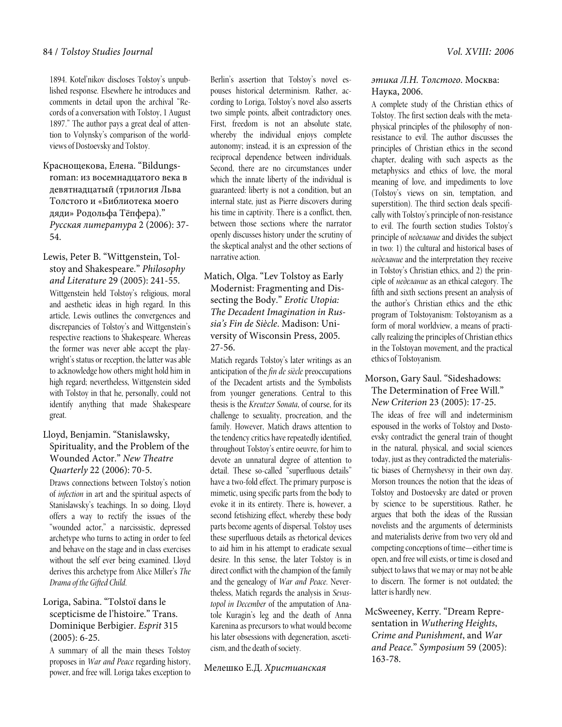1894. Kotel'nikov discloses Tolstoy's unpublished response. Elsewhere he introduces and comments in detail upon the archival "Records of a conversation with Tolstoy, 1 August 1897." The author pays a great deal of attention to Volynsky's comparison of the worldviews of Dostoevsky and Tolstoy.

Краснощекова, Елена. "Bildungsroman: из восемнадцатого века в девятнадцатый (трилогия Льва Толстого и «Библиотека моего дяди» Родольфа Тёпфера)." Русская литература 2 (2006): 37- 54.

Lewis, Peter B. "Wittgenstein, Tolstoy and Shakespeare." Philosophy and Literature 29 (2005): 241-55. Wittgenstein held Tolstoy's religious, moral and aesthetic ideas in high regard. In this article, Lewis outlines the convergences and discrepancies of Tolstoy's and Wittgenstein's respective reactions to Shakespeare. Whereas the former was never able accept the playwright's status or reception, the latter was able to acknowledge how others might hold him in high regard; nevertheless, Wittgenstein sided with Tolstoy in that he, personally, could not identify anything that made Shakespeare great.

Lloyd, Benjamin. "Stanislawsky, Spirituality, and the Problem of the Wounded Actor." New Theatre Quarterly 22 (2006): 70-5.

Draws connections between Tolstoy's notion of infection in art and the spiritual aspects of Stanislawsky's teachings. In so doing, Lloyd offers a way to rectify the issues of the "wounded actor," a narcissistic, depressed archetype who turns to acting in order to feel and behave on the stage and in class exercises without the self ever being examined. Lloyd derives this archetype from Alice Miller's The Drama of the Gifted Child.

## Loriga, Sabina. "Tolstoï dans le scepticisme de l'histoire." Trans. Dominique Berbigier. Esprit 315 (2005): 6-25.

A summary of all the main theses Tolstoy proposes in War and Peace regarding history, power, and free will. Loriga takes exception to

Berlin's assertion that Tolstoy's novel espouses historical determinism. Rather, according to Loriga, Tolstoy's novel also asserts two simple points, albeit contradictory ones. First, freedom is not an absolute state, whereby the individual enjoys complete autonomy; instead, it is an expression of the reciprocal dependence between individuals. Second, there are no circumstances under which the innate liberty of the individual is guaranteed: liberty is not a condition, but an internal state, just as Pierre discovers during his time in captivity. There is a conflict, then, between those sections where the narrator openly discusses history under the scrutiny of the skeptical analyst and the other sections of narrative action.

Matich, Olga. "Lev Tolstoy as Early Modernist: Fragmenting and Dissecting the Body." Erotic Utopia: The Decadent Imagination in Russia's Fin de Siècle. Madison: University of Wisconsin Press, 2005. 27-56.

Matich regards Tolstoy's later writings as an anticipation of the fin de siècle preoccupations of the Decadent artists and the Symbolists from younger generations. Central to this thesis is the Kreutzer Sonata, of course, for its challenge to sexuality, procreation, and the family. However, Matich draws attention to the tendency critics have repeatedly identified, throughout Tolstoy's entire oeuvre, for him to devote an unnatural degree of attention to detail. These so-called "superfluous details" have a two-fold effect. The primary purpose is mimetic, using specific parts from the body to evoke it in its entirety. There is, however, a second fetishizing effect, whereby these body parts become agents of dispersal. Tolstoy uses these superfluous details as rhetorical devices to aid him in his attempt to eradicate sexual desire. In this sense, the later Tolstoy is in direct conflict with the champion of the family and the genealogy of War and Peace. Nevertheless, Matich regards the analysis in Sevastopol in December of the amputation of Anatole Kuragin's leg and the death of Anna Karenina as precursors to what would become his later obsessions with degeneration, asceticism, and the death of society.

Мелешко Е.Д. Христианская

## этика Л.Н. Толстого. Москва: Наука, 2006.

A complete study of the Christian ethics of Tolstoy. The first section deals with the metaphysical principles of the philosophy of nonresistance to evil. The author discusses the principles of Christian ethics in the second chapter, dealing with such aspects as the metaphysics and ethics of love, the moral meaning of love, and impediments to love (Tolstoy's views on sin, temptation, and superstition). The third section deals specifically with Tolstoy's principle of non-resistance to evil. The fourth section studies Tolstoy's principle of неделание and divides the subject in two: 1) the cultural and historical bases of неделание and the interpretation they receive in Tolstoy's Christian ethics, and 2) the principle of неделание as an ethical category. The fifth and sixth sections present an analysis of the author's Christian ethics and the ethic program of Tolstoyanism: Tolstoyanism as a form of moral worldview, a means of practically realizing the principles of Christian ethics in the Tolstoyan movement, and the practical ethics of Tolstoyanism.

## Morson, Gary Saul. "Sideshadows: The Determination of Free Will." New Criterion 23 (2005): 17-25.

The ideas of free will and indeterminism espoused in the works of Tolstoy and Dostoevsky contradict the general train of thought in the natural, physical, and social sciences today, just as they contradicted the materialistic biases of Chernyshevsy in their own day. Morson trounces the notion that the ideas of Tolstoy and Dostoevsky are dated or proven by science to be superstitious. Rather, he argues that both the ideas of the Russian novelists and the arguments of determinists and materialists derive from two very old and competing conceptions of time—either time is open, and free will exists, or time is closed and subject to laws that we may or may not be able to discern. The former is not outdated; the latter is hardly new.

McSweeney, Kerry. "Dream Representation in Wuthering Heights, Crime and Punishment, and War and Peace." Symposium 59 (2005): 163-78.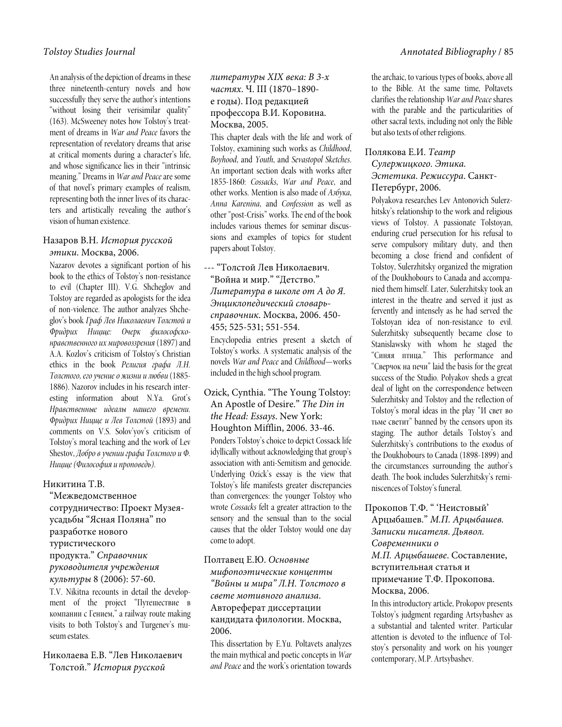An analysis of the depiction of dreams in these three nineteenth-century novels and how successfully they serve the author's intentions "without losing their verisimilar quality" (163). McSweeney notes how Tolstoy's treatment of dreams in War and Peace favors the representation of revelatory dreams that arise at critical moments during a character's life, and whose significance lies in their "intrinsic meaning." Dreams in War and Peace are some of that novel's primary examples of realism, representing both the inner lives of its characters and artistically revealing the author's vision of human existence.

## Назаров В.Н. История русской этики. Москва, 2006.

Nazarov devotes a significant portion of his book to the ethics of Tolstoy's non-resistance to evil (Chapter III). V.G. Shcheglov and Tolstoy are regarded as apologists for the idea of non-violence. The author analyzes Shcheglov's book Граф Лев Николаевич Толстой и Фридрих Ницще: Очерк философсконравственного их мировоззрения (1897) and A.A. Kozlov's criticism of Tolstoy's Christian ethics in the book Религия графа Л.Н. Толстого, его учение о жизни и любви (1885- 1886). Nazorov includes in his research interesting information about N.Ya. Grot's Нравственные идеалы нашего времени. Фридрих Ницще и Лев Толстой (1893) and comments on V.S. Solov'yov's criticism of Tolstoy's moral teaching and the work of Lev Shestov, Добро в учении графа Толстого и Ф. Ницще (Философия и проповедь).

## Никитина Т.В.

"Межведомственное сотрудничество: Проект Музеяусадьбы "Ясная Поляна" по разработке нового туристического продукта." Справочник руководителя учреждения культуры 8 (2006): 57-60.

Т.V. Nikitna recounts in detail the development of the project "Путешествие в компании с Гением," a railway route making visits to both Tolstoy's and Turgenev's museum estates.

Николаева Е.В. "Лев Николаевич Толстой." История русской

## литературы XIX века: В 3-х частях. Ч. III (1870–1890 е годы). Под редакцией профессора В.И. Коровина. Москва, 2005.

This chapter deals with the life and work of Tolstoy, examining such works as Childhood, Boyhood, and Youth, and Sevastopol Sketches. An important section deals with works after 1855-1860: Cossacks, War and Peace, and other works. Mention is also made of Азбука, Anna Karenina, and Confession as well as other "post-Crisis" works. The end of the book includes various themes for seminar discussions and examples of topics for student papers about Tolstoy.

--- "Толстой Лев Николаевич. "Война и мир." "Детство." Литература в школе от А до Я. Энциклопедический словарьсправочник. Москва, 2006. 450- 455; 525-531; 551-554.

Encyclopedia entries present a sketch of Tolstoy's works. A systematic analysis of the novels War and Peace and Childhood—works included in the high school program.

## Ozick, Cynthia. "The Young Tolstoy: An Apostle of Desire." The Din in the Head: Essays. New York: Houghton Mifflin, 2006. 33-46.

Ponders Tolstoy's choice to depict Cossack life idyllically without acknowledging that group's association with anti-Semitism and genocide. Underlying Ozick's essay is the view that Tolstoy's life manifests greater discrepancies than convergences: the younger Tolstoy who wrote Cossacks felt a greater attraction to the sensory and the sensual than to the social causes that the older Tolstoy would one day come to adopt.

## Полтавец Е.Ю. Основные

мифопоэтические концепты "Войны и мира" Л.Н. Толстого в свете мотивного анализа. Автореферат диссертации кандидата филологии. Москва, 2006.

This dissertation by E.Yu. Poltavets analyzes the main mythical and poetic concepts in War and Peace and the work's orientation towards

the archaic, to various types of books, above all to the Bible. At the same time, Poltavets clarifies the relationship War and Peace shares with the parable and the particularities of other sacral texts, including not only the Bible but also texts of other religions.

#### Полякова Е.И. Театр

## Сулержицкого. Этика. Эстетика. Режиссура. Санкт-Петербург, 2006.

Polyakova researches Lev Antonovich Sulerzhitsky's relationship to the work and religious views of Tolstoy. A passionate Tolstoyan, enduring cruel persecution for his refusal to serve compulsory military duty, and then becoming a close friend and confident of Tolstoy, Sulerzhitsky organized the migration of the Doukhobours to Canada and accompanied them himself. Later, Sulerzhitsky took an interest in the theatre and served it just as fervently and intensely as he had served the Tolstoyan idea of non-resistance to evil. Sulerzhitsky subsequently became close to Stanislawsky with whom he staged the "Синяя птица." This performance and "Сверчок на печи" laid the basis for the great success of the Studio. Polyakov sheds a great deal of light on the correspondence between Sulerzhitsky and Tolstoy and the reflection of Tolstoy's moral ideas in the play "И свет во тьме светит" banned by the censors upon its staging. The author details Tolstoy's and Sulerzhitsky's contributions to the exodus of the Doukhobours to Canada (1898-1899) and the circumstances surrounding the author's death. The book includes Sulerzhitsky's reminiscences of Tolstoy's funeral.

## Прокопов Т.Ф. " 'Неистовый'

Арцыбашев." М.П. Арцыбашев. Записки писателя. Дьявол. Современники о М.П. Арцыбашеве. Составление, вступительная статья и примечание Т.Ф. Прокопова. Москва, 2006.

In this introductory article, Prokopov presents Tolstoy's judgment regarding Artsybashev as a substantial and talented writer. Particular attention is devoted to the influence of Tolstoy's personality and work on his younger contemporary, M.P. Artsybashev.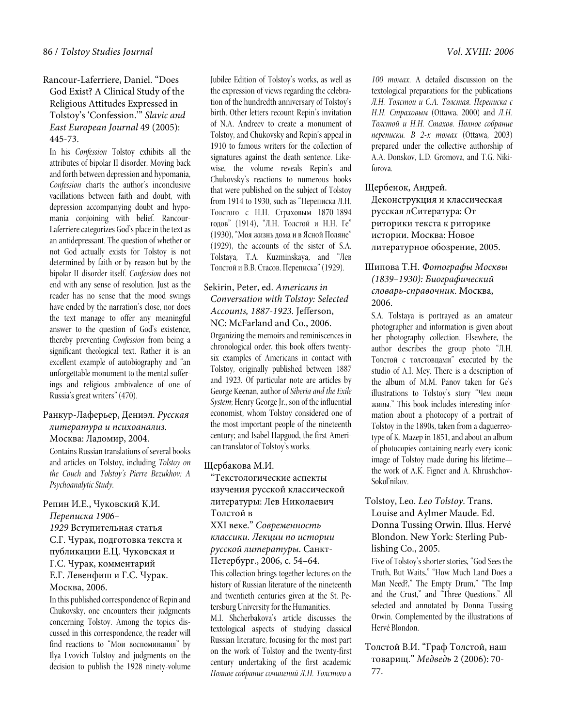## Rancour-Laferriere, Daniel. "Does God Exist? A Clinical Study of the Religious Attitudes Expressed in Tolstoy's 'Confession.'" Slavic and East European Journal 49 (2005): 445-73.

In his Confession Tolstoy exhibits all the attributes of bipolar II disorder. Moving back and forth between depression and hypomania, Confession charts the author's inconclusive vacillations between faith and doubt, with depression accompanying doubt and hypomania conjoining with belief. Rancour-Laferriere categorizes God's place in the text as an antidepressant. The question of whether or not God actually exists for Tolstoy is not determined by faith or by reason but by the bipolar II disorder itself. Confession does not end with any sense of resolution. Just as the reader has no sense that the mood swings have ended by the narration's close, nor does the text manage to offer any meaningful answer to the question of God's existence, thereby preventing Confession from being a significant theological text. Rather it is an excellent example of autobiography and "an unforgettable monument to the mental sufferings and religious ambivalence of one of Russia's great writers" (470).

#### Ранкур-Лаферьер, Дениэл. Русская литература и психоанализ. Москва: Ладомир, 2004.

Contains Russian translations of several books and articles on Tolstoy, including Tolstoy on the Couch and Tolstoy's Pierre Bezukhov: A Psychoanalytic Study.

#### Репин И.Е., Чуковский К.И. Переписка 1906–

1929 Вступительная статья С.Г. Чурак, подготовка текста и публикации Е.Ц. Чуковская и Г.С. Чурак, комментарий Е.Г. Левенфиш и Г.С. Чурак. Москва, 2006.

In this published correspondence of Repin and Chukovsky, one encounters their judgments concerning Tolstoy. Among the topics discussed in this correspondence, the reader will find reactions to "Мои воспоминания" by Ilya Lvovich Tolstoy and judgments on the decision to publish the 1928 ninety-volume Jubilee Edition of Tolstoy's works, as well as the expression of views regarding the celebration of the hundredth anniversary of Tolstoy's birth. Other letters recount Repin's invitation of N.A. Andreev to create a monument of Tolstoy, and Chukovsky and Repin's appeal in 1910 to famous writers for the collection of signatures against the death sentence. Likewise, the volume reveals Repin's and Chukovsky's reactions to numerous books that were published on the subject of Tolstoy from 1914 to 1930, such as "Переписка Л.Н. Толстого с Н.Н. Страховым 1870-1894 годов" (1914), "Л.Н. Толстой и Н.Н. Ге" (1930), "Моя жизнь дома и в Ясной Поляне" (1929), the accounts of the sister of S.A. Tolstaya, T.A. Kuzminskaya, and "Лев Толстой и В.В. Стасов. Переписка" (1929).

#### Sekirin, Peter, ed. Americans in Conversation with Tolstoy: Selected

Accounts, 1887-1923. Jefferson, NC: McFarland and Co., 2006. Organizing the memoirs and reminiscences in chronological order, this book offers twentysix examples of Americans in contact with Tolstoy, originally published between 1887 and 1923. Of particular note are articles by George Keenan, author of Siberia and the Exile System; Henry George Jr., son of the influential economist, whom Tolstoy considered one of the most important people of the nineteenth century; and Isabel Hapgood, the first American translator of Tolstoy's works.

#### Щербакова М.И.

"Текстологические аспекты изучения русской классической литературы: Лев Николаевич Толстой в

## XXI веке." Современность классики. Лекции по истории русской литературы. Санкт-Петербург., 2006, с. 54–64.

This collection brings together lectures on the history of Russian literature of the nineteenth and twentieth centuries given at the St. Petersburg University for the Humanities.

M.I. Shcherbakova's article discusses the textological aspects of studying classical Russian literature, focusing for the most part on the work of Tolstoy and the twenty-first century undertaking of the first academic Полное собрание сочинений Л.Н. Толстого в

100 томах. A detailed discussion on the textological preparations for the publications Л.Н. Толстои и С.А. Толстая. Переписка с Н.Н. Страховым (Ottawa, 2000) and Л.Н. Толстой и Н.Н. Стахов. Полное собрание переписки. В 2-х томах (Ottawa, 2003) prepared under the collective authorship of A.A. Donskov, L.D. Gromova, and T.G. Nikiforova.

#### Щербенок, Андрей.

Деконструкция и классическая русская лCитература: От риторики текста к риторике истории. Москва: Новое литературное обозрение, 2005.

## Шипова Т.Н. Фотографы Москвы (1839–1930): Биографический словарь-справочник. Москва, 2006.

S.A. Tolstaya is portrayed as an amateur photographer and information is given about her photography collection. Elsewhere, the author describes the group photo "Л.Н. Толстой с толстовцами" executed by the studio of A.I. Mey. There is a description of the album of M.M. Panov taken for Ge's illustrations to Tolstoy's story "Чем люди живы." This book includes interesting information about a photocopy of a portrait of Tolstoy in the 1890s, taken from a daguerreotype of K. Mazep in 1851, and about an album of photocopies containing nearly every iconic image of Tolstoy made during his lifetime the work of A.K. Figner and A. Khrushchov-Sokol'nikov.

## Tolstoy, Leo. Leo Tolstoy. Trans. Louise and Aylmer Maude. Ed. Donna Tussing Orwin. Illus. Hervé Blondon. New York: Sterling Publishing Co., 2005.

Five of Tolstoy's shorter stories, "God Sees the Truth, But Waits," "How Much Land Does a Man Need?," The Empty Drum," "The Imp and the Crust," and "Three Questions." All selected and annotated by Donna Tussing Orwin. Complemented by the illustrations of Hervé Blondon.

Толстой В.И. "Граф Толстой, наш товарищ." Медведь 2 (2006): 70- 77.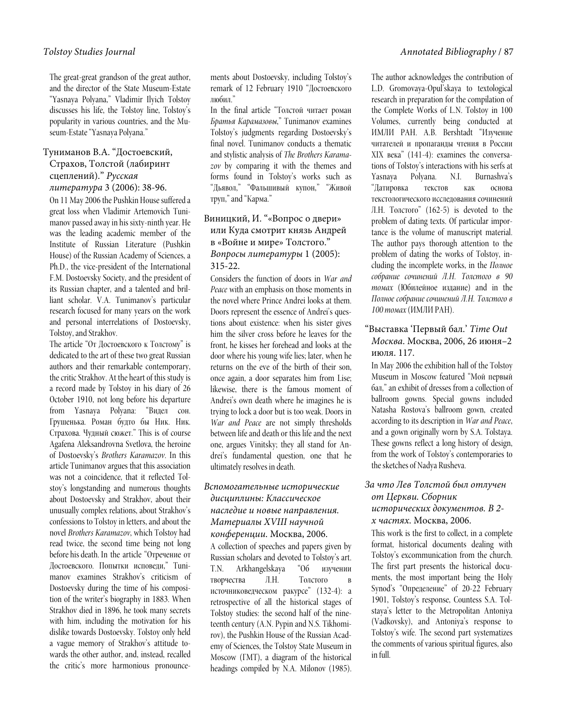The great-great grandson of the great author, and the director of the State Museum-Estate "Yasnaya Polyana," Vladimir Ilyich Tolstoy discusses his life, the Tolstoy line, Tolstoy's popularity in various countries, and the Museum-Estate "Yasnaya Polyana."

## Туниманов В.А. "Достоевский, Страхов, Толстой (лабиринт сцеплений)." Русская

литература 3 (2006): 38-96.

On 11 May 2006 the Pushkin House suffered a great loss when Vladimir Artemovich Tunimanov passed away in his sixty-ninth year. He was the leading academic member of the Institute of Russian Literature (Pushkin House) of the Russian Academy of Sciences, a Ph.D., the vice-president of the International F.M. Dostoevsky Society, and the president of its Russian chapter, and a talented and brilliant scholar. V.A. Tunimanov's particular research focused for many years on the work and personal interrelations of Dostoevsky, Tolstoy, and Strakhov.

The article "От Достоевского к Толстому" is dedicated to the art of these two great Russian authors and their remarkable contemporary, the critic Strakhov. At the heart of this study is a record made by Tolstoy in his diary of 26 October 1910, not long before his departure from Yasnaya Polyana: "Видел сон. Грушенька. Роман будто бы Ник. Ник. Страхова. Чудный сюжет." This is of course Agafena Aleksandrovna Svetlova, the heroine of Dostoevsky's Brothers Karamazov. In this article Tunimanov argues that this association was not a coincidence, that it reflected Tolstoy's longstanding and numerous thoughts about Dostoevsky and Strakhov, about their unusually complex relations, about Strakhov's confessions to Tolstoy in letters, and about the novel Brothers Karamazov, which Tolstoy had read twice, the second time being not long before his death. In the article "Отречение от Достоевского. Попытки исповеди," Tunimanov examines Strakhov's criticism of Dostoevsky during the time of his composition of the writer's biography in 1883. When Strakhov died in 1896, he took many secrets with him, including the motivation for his dislike towards Dostoevsky. Tolstoy only held a vague memory of Strakhov's attitude towards the other author, and, instead, recalled the critic's more harmonious pronouncements about Dostoevsky, including Tolstoy's remark of 12 February 1910 "Достоевского любил."

In the final article "Толстой читает роман Братья Карамазовы," Tunimanov examines Tolstoy's judgments regarding Dostoevsky's final novel. Tunimanov conducts a thematic and stylistic analysis of The Brothers Karamazov by comparing it with the themes and forms found in Tolstoy's works such as "Дьявол," "Фальшивый купон," "Живой труп," and "Карма."

## Виницкий, И. "«Вопрос о двери» или Куда смотрит князь Андрей в «Войне и мире» Толстого." Вопросы литературы 1 (2005): 315-22.

Considers the function of doors in War and Peace with an emphasis on those moments in the novel where Prince Andrei looks at them. Doors represent the essence of Andrei's questions about existence: when his sister gives him the silver cross before he leaves for the front, he kisses her forehead and looks at the door where his young wife lies; later, when he returns on the eve of the birth of their son, once again, a door separates him from Lise; likewise, there is the famous moment of Andrei's own death where he imagines he is trying to lock a door but is too weak. Doors in War and Peace are not simply thresholds between life and death or this life and the next one, argues Vinitsky; they all stand for Andrei's fundamental question, one that he ultimately resolves in death.

## Вспомогательные исторические дисциплины: Классическое наследие и новые направления. Материалы XVIII научной конференции. Москва, 2006.

A collection of speeches and papers given by Russian scholars and devoted to Tolstoy's art. T.N. Arkhangelskaya "Об изучении творчества Л.Н. Толстого в источниковедческом ракурсе" (132-4): a retrospective of all the historical stages of Tolstoy studies: the second half of the nineteenth century (A.N. Pypin and N.S. Tikhomirov), the Pushkin House of the Russian Academy of Sciences, the Tolstoy State Museum in Moscow (ГМТ), a diagram of the historical headings compiled by N.A. Milonov (1985).

The author acknowledges the contribution of L.D. Gromovaya-Opul'skaya to textological research in preparation for the compilation of the Complete Works of L.N. Tolstoy in 100 Volumes, currently being conducted at ИМЛИ РАН. A.B. Bershtadt "Изучение читателей и пропаганды чтения в России XIX века" (141-4): examines the conversations of Tolstoy's interactions with his serfs at Yasnaya Polyana. N.I. Burnashva's "Датировка текстов как основа текстологического исследования сочинений Л.Н. Толстого" (162-5) is devoted to the problem of dating texts. Of particular importance is the volume of manuscript material. The author pays thorough attention to the problem of dating the works of Tolstoy, including the incomplete works, in the Полное собрание сочинений Л.Н. Толстого в 90 томах (Юбилейное издание) and in the Полное собрание сочинений Л.Н. Толстого в 100 томах (ИМЛИ РАН).

## "Выставка 'Первый бал.' Time Out Москва. Москва, 2006, 26 июня–2 июля. 117.

In May 2006 the exhibition hall of the Tolstoy Museum in Moscow featured "Мой первый бал," an exhibit of dresses from a collection of ballroom gowns. Special gowns included Natasha Rostova's ballroom gown, created according to its description in War and Peace, and a gown originally worn by S.A. Tolstaya. These gowns reflect a long history of design, from the work of Tolstoy's contemporaries to the sketches of Nadya Rusheva.

## За что Лев Толстой был отлучен от Церкви. Сборник исторических документов. В 2 х частях. Москва, 2006.

This work is the first to collect, in a complete format, historical documents dealing with Tolstoy's excommunication from the church. The first part presents the historical documents, the most important being the Holy Synod's "Определение" of 20-22 February 1901, Tolstoy's response, Countess S.A. Tolstaya's letter to the Metropolitan Antoniya (Vadkovsky), and Antoniya's response to Tolstoy's wife. The second part systematizes the comments of various spiritual figures, also in full.